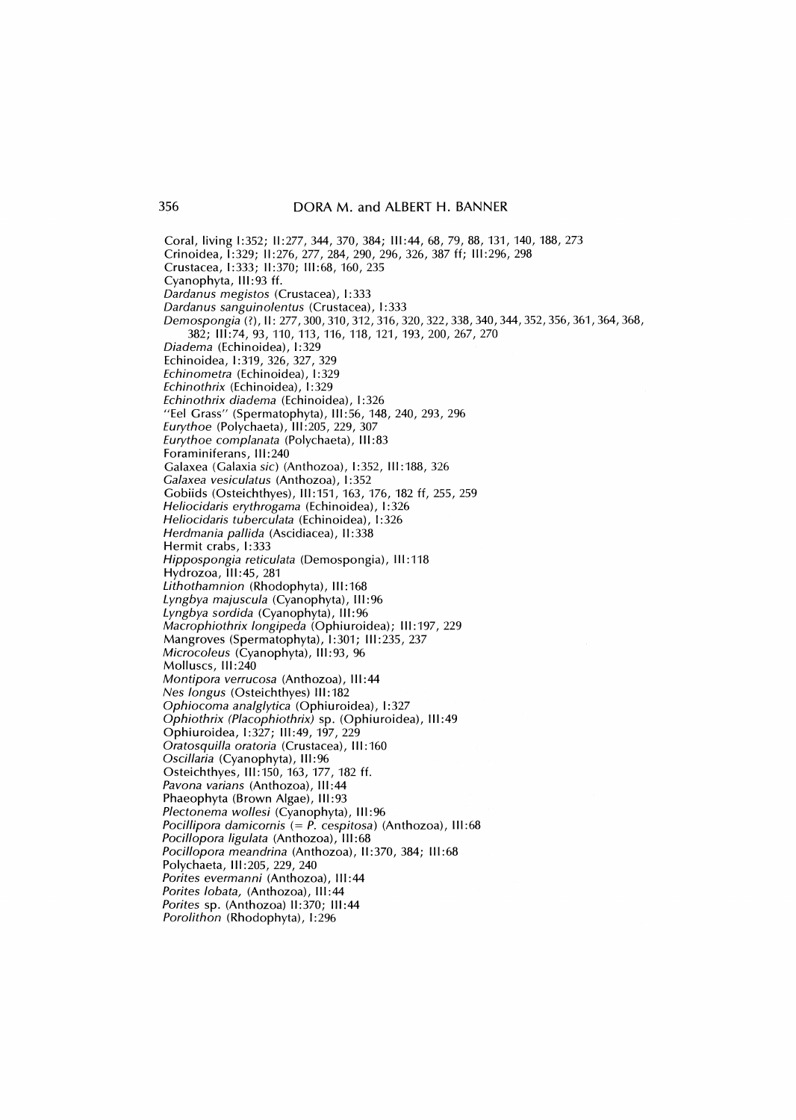Coral, living 1:352; 11:277,344,370,384; 111:44,68,79,88,131,140,188,273 Crinoidea, 1:329; 11:276,277,284,290,296,326,387 ff; 111:296,298 Crustacea, 1:333; 11:370; 111:68,160,235 Cyanophyta, 111:93 ff. *Dardanus megistos* (Crustacea), I: 333 *Dardanus sanguinolentus* (Crustacea), 1:333 *Demospongia* (?), 11: 277,300,310,312,316,320,322,338,340,344,352,356, 361, 364, 368, 382; 111:74,93,110,113,116,118,121,193,200,267,270 *Diadema* (Echinoidea), 1:329 Echinoidea, 1:319, 326, 327, 329 *Echinometra* (Echinoidea), 1:329 *Echinothrix* (Echinoidea), 1:329 *Echinothrix diadema* (Echinoidea), 1:326 "Eel Grass" (Spermatophyta), 111:56, 148, 240, 293, 296 *Eurythoe* (Polychaeta), 111:205,229,307 *Eurythoe complanata* (Polychaeta), **Ill:** 83 Foraminiferans, 111:240 Galaxea (Galaxia *sic)* (Anthozoa), I :352, **I11** :188,326 *Galaxea vesiculatus* (Anthozoa), I: 352 Gobiids (Osteichthyes), 111:151,163,176,182 ff, 255, 259 *Heliocidaris erythrogama* (Echinoidea), 1:326 *Heliocidaris tuberculata* (Echinoidea), 1:326 *Herdmania pal/ida* (Ascidiacea), **11:** 338 Hermit crabs, 1:333 *Hippospongia reticulata* (Demospongia), **111:118**  Hydrozoa, III:45, 281 *Lithothamnion* (Rhodophyta), 111:168 *Lyngbya majuscula* (Cyanophyta), 111:96 *Lyngbya sordida* (Cyanophyta), 111:96 *Macrophiothrix longipeda* (Ophiuroidea); 111:197,229 Mangroves (Spermatophyta), 1:301; 111:235,237 *Microcoleus* (Cyanophyta), 111:93,96 Molluscs, 111:240 *Montipora verrucosa* (Anthozoa), **111:44**  *Nes longus* (Osteichthyes) **II1** :182 *Ophiocoma analglytica* (Ophiuroidea), 1:327 *Ophiothrix (Placophiothrix)* sp. (Ophiuroidea), **111:49**  Ophiuroidea, 1:327; 111:49,197,229 *Oratosquil/a oratoria* (Crustacea), **Ill:** 160 *Oscil/aria* (Cyanophyta), 111:96 Osteichthyes, III: 150, 163, 177, 182 ff. *Pavona varians* (Anthozoa), **111:44**  Phaeophyta (Brown Algae), 111:93 *Plectonema wol/esi* (Cyanophyta), 111:96 *Pocillipora damicornis* (= *P. cespitosa)* (Anthozoa), 111:68 *Pocil/opora ligulata* (Anthozoa), **Ill:** 68 *Pocil/opora meandrina* (Anthozoa), 11:370,384; 111:68 Polychaeta, **Ill:** 205, 229, 240 *Porites evermanni* (Anthozoa), **111:44**  *Porites lobata,* (Anthozoa), 111:44 *Porites* sp. (Anthozoa) 11:370; 111:44 *Porolithon* (Rhodophyta), 1:296